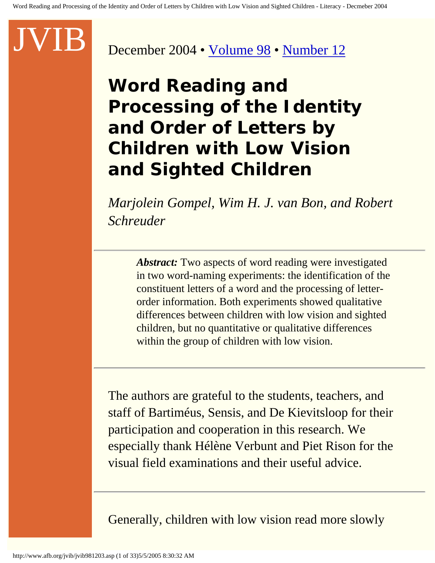#### December 2004 • [Volume 98](http://www.afb.org/jvib/jvib_main.asp#2004) • [Number 12](http://www.afb.org/jvib/jvib9812toc.asp)

**Word Reading and Processing of the Identity and Order of Letters by Children with Low Vision and Sighted Children**

*Marjolein Gompel, Wim H. J. van Bon, and Robert Schreuder*

*Abstract:* Two aspects of word reading were investigated in two word-naming experiments: the identification of the constituent letters of a word and the processing of letterorder information. Both experiments showed qualitative differences between children with low vision and sighted children, but no quantitative or qualitative differences within the group of children with low vision.

The authors are grateful to the students, teachers, and staff of Bartiméus, Sensis, and De Kievitsloop for their participation and cooperation in this research. We especially thank Hélène Verbunt and Piet Rison for the visual field examinations and their useful advice.

Generally, children with low vision read more slowly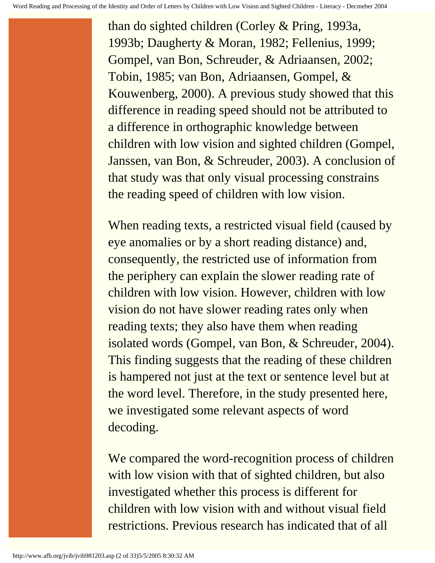than do sighted children (Corley & Pring, 1993a, 1993b; Daugherty & Moran, 1982; Fellenius, 1999; Gompel, van Bon, Schreuder, & Adriaansen, 2002; Tobin, 1985; van Bon, Adriaansen, Gompel, & Kouwenberg, 2000). A previous study showed that this difference in reading speed should not be attributed to a difference in orthographic knowledge between children with low vision and sighted children (Gompel, Janssen, van Bon, & Schreuder, 2003). A conclusion of that study was that only visual processing constrains the reading speed of children with low vision.

When reading texts, a restricted visual field (caused by eye anomalies or by a short reading distance) and, consequently, the restricted use of information from the periphery can explain the slower reading rate of children with low vision. However, children with low vision do not have slower reading rates only when reading texts; they also have them when reading isolated words (Gompel, van Bon, & Schreuder, 2004). This finding suggests that the reading of these children is hampered not just at the text or sentence level but at the word level. Therefore, in the study presented here, we investigated some relevant aspects of word decoding.

We compared the word-recognition process of children with low vision with that of sighted children, but also investigated whether this process is different for children with low vision with and without visual field restrictions. Previous research has indicated that of all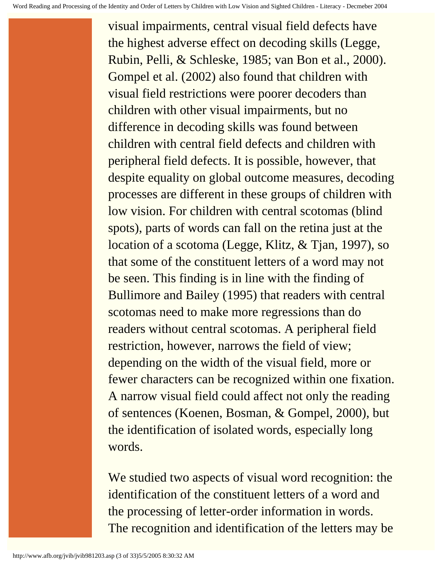visual impairments, central visual field defects have the highest adverse effect on decoding skills (Legge, Rubin, Pelli, & Schleske, 1985; van Bon et al., 2000). Gompel et al. (2002) also found that children with visual field restrictions were poorer decoders than children with other visual impairments, but no difference in decoding skills was found between children with central field defects and children with peripheral field defects. It is possible, however, that despite equality on global outcome measures, decoding processes are different in these groups of children with low vision. For children with central scotomas (blind spots), parts of words can fall on the retina just at the location of a scotoma (Legge, Klitz, & Tjan, 1997), so that some of the constituent letters of a word may not be seen. This finding is in line with the finding of Bullimore and Bailey (1995) that readers with central scotomas need to make more regressions than do readers without central scotomas. A peripheral field restriction, however, narrows the field of view; depending on the width of the visual field, more or fewer characters can be recognized within one fixation. A narrow visual field could affect not only the reading of sentences (Koenen, Bosman, & Gompel, 2000), but the identification of isolated words, especially long words.

We studied two aspects of visual word recognition: the identification of the constituent letters of a word and the processing of letter-order information in words. The recognition and identification of the letters may be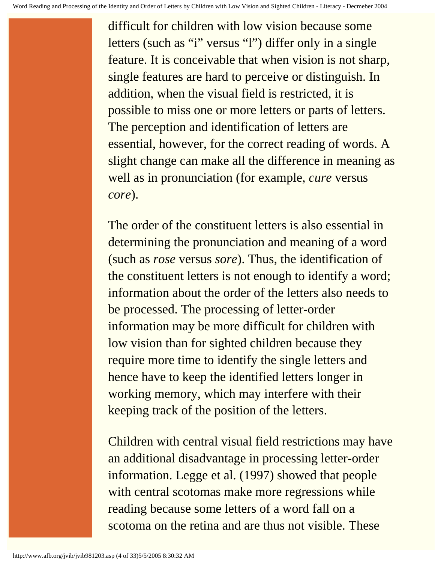difficult for children with low vision because some letters (such as "i" versus "l") differ only in a single feature. It is conceivable that when vision is not sharp, single features are hard to perceive or distinguish. In addition, when the visual field is restricted, it is possible to miss one or more letters or parts of letters. The perception and identification of letters are essential, however, for the correct reading of words. A slight change can make all the difference in meaning as well as in pronunciation (for example, *cure* versus *core*).

The order of the constituent letters is also essential in determining the pronunciation and meaning of a word (such as *rose* versus *sore*). Thus, the identification of the constituent letters is not enough to identify a word; information about the order of the letters also needs to be processed. The processing of letter-order information may be more difficult for children with low vision than for sighted children because they require more time to identify the single letters and hence have to keep the identified letters longer in working memory, which may interfere with their keeping track of the position of the letters.

Children with central visual field restrictions may have an additional disadvantage in processing letter-order information. Legge et al. (1997) showed that people with central scotomas make more regressions while reading because some letters of a word fall on a scotoma on the retina and are thus not visible. These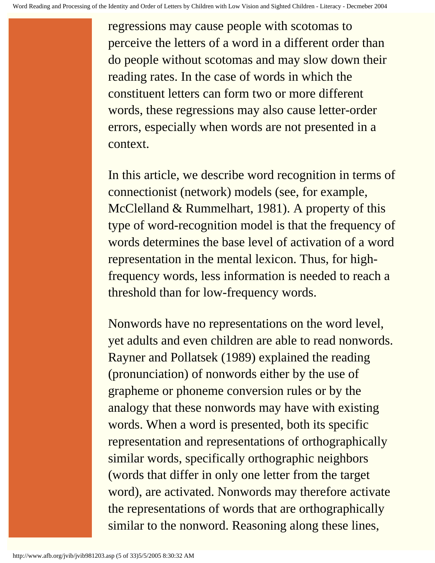regressions may cause people with scotomas to perceive the letters of a word in a different order than do people without scotomas and may slow down their reading rates. In the case of words in which the constituent letters can form two or more different words, these regressions may also cause letter-order errors, especially when words are not presented in a context.

In this article, we describe word recognition in terms of connectionist (network) models (see, for example, McClelland & Rummelhart, 1981). A property of this type of word-recognition model is that the frequency of words determines the base level of activation of a word representation in the mental lexicon. Thus, for highfrequency words, less information is needed to reach a threshold than for low-frequency words.

Nonwords have no representations on the word level, yet adults and even children are able to read nonwords. Rayner and Pollatsek (1989) explained the reading (pronunciation) of nonwords either by the use of grapheme or phoneme conversion rules or by the analogy that these nonwords may have with existing words. When a word is presented, both its specific representation and representations of orthographically similar words, specifically orthographic neighbors (words that differ in only one letter from the target word), are activated. Nonwords may therefore activate the representations of words that are orthographically similar to the nonword. Reasoning along these lines,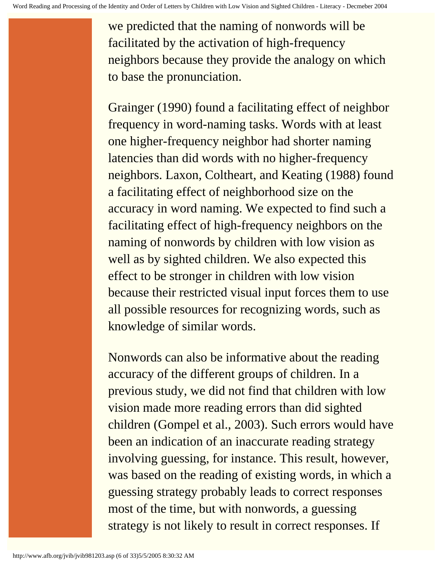we predicted that the naming of nonwords will be facilitated by the activation of high-frequency neighbors because they provide the analogy on which to base the pronunciation.

Grainger (1990) found a facilitating effect of neighbor frequency in word-naming tasks. Words with at least one higher-frequency neighbor had shorter naming latencies than did words with no higher-frequency neighbors. Laxon, Coltheart, and Keating (1988) found a facilitating effect of neighborhood size on the accuracy in word naming. We expected to find such a facilitating effect of high-frequency neighbors on the naming of nonwords by children with low vision as well as by sighted children. We also expected this effect to be stronger in children with low vision because their restricted visual input forces them to use all possible resources for recognizing words, such as knowledge of similar words.

Nonwords can also be informative about the reading accuracy of the different groups of children. In a previous study, we did not find that children with low vision made more reading errors than did sighted children (Gompel et al., 2003). Such errors would have been an indication of an inaccurate reading strategy involving guessing, for instance. This result, however, was based on the reading of existing words, in which a guessing strategy probably leads to correct responses most of the time, but with nonwords, a guessing strategy is not likely to result in correct responses. If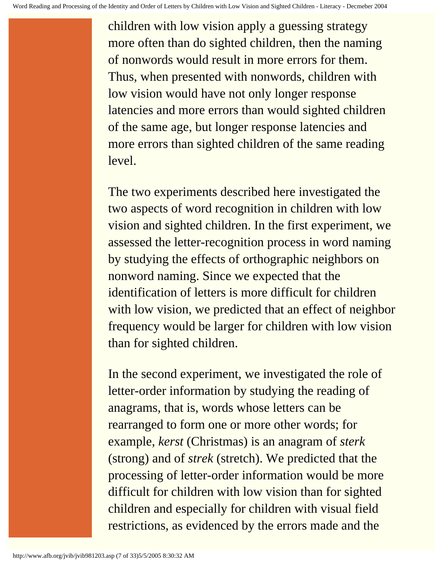children with low vision apply a guessing strategy more often than do sighted children, then the naming of nonwords would result in more errors for them. Thus, when presented with nonwords, children with low vision would have not only longer response latencies and more errors than would sighted children of the same age, but longer response latencies and more errors than sighted children of the same reading level.

The two experiments described here investigated the two aspects of word recognition in children with low vision and sighted children. In the first experiment, we assessed the letter-recognition process in word naming by studying the effects of orthographic neighbors on nonword naming. Since we expected that the identification of letters is more difficult for children with low vision, we predicted that an effect of neighbor frequency would be larger for children with low vision than for sighted children.

In the second experiment, we investigated the role of letter-order information by studying the reading of anagrams, that is, words whose letters can be rearranged to form one or more other words; for example, *kerst* (Christmas) is an anagram of *sterk* (strong) and of *strek* (stretch). We predicted that the processing of letter-order information would be more difficult for children with low vision than for sighted children and especially for children with visual field restrictions, as evidenced by the errors made and the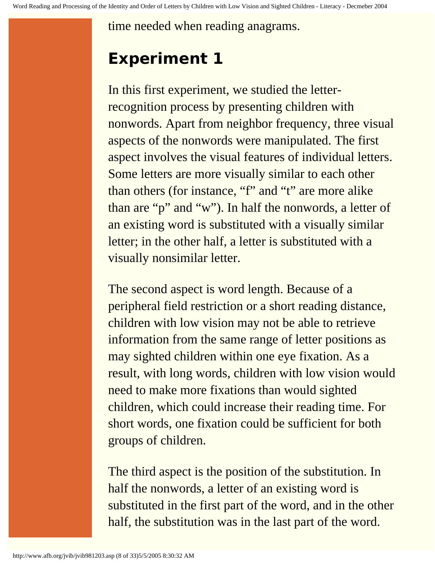time needed when reading anagrams.

# **Experiment 1**

In this first experiment, we studied the letterrecognition process by presenting children with nonwords. Apart from neighbor frequency, three visual aspects of the nonwords were manipulated. The first aspect involves the visual features of individual letters. Some letters are more visually similar to each other than others (for instance, "f" and "t" are more alike than are "p" and "w"). In half the nonwords, a letter of an existing word is substituted with a visually similar letter; in the other half, a letter is substituted with a visually nonsimilar letter.

The second aspect is word length. Because of a peripheral field restriction or a short reading distance, children with low vision may not be able to retrieve information from the same range of letter positions as may sighted children within one eye fixation. As a result, with long words, children with low vision would need to make more fixations than would sighted children, which could increase their reading time. For short words, one fixation could be sufficient for both groups of children.

The third aspect is the position of the substitution. In half the nonwords, a letter of an existing word is substituted in the first part of the word, and in the other half, the substitution was in the last part of the word.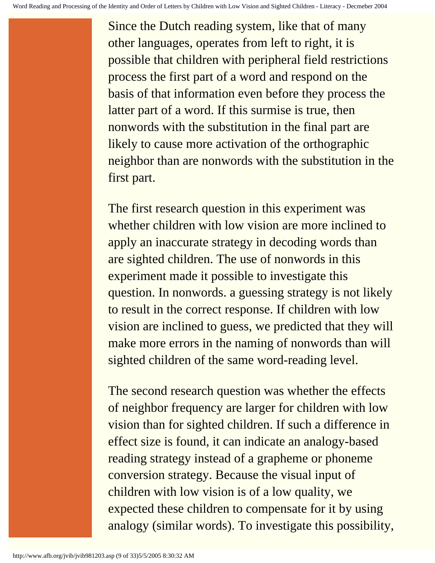Since the Dutch reading system, like that of many other languages, operates from left to right, it is possible that children with peripheral field restrictions process the first part of a word and respond on the basis of that information even before they process the latter part of a word. If this surmise is true, then nonwords with the substitution in the final part are likely to cause more activation of the orthographic neighbor than are nonwords with the substitution in the first part.

The first research question in this experiment was whether children with low vision are more inclined to apply an inaccurate strategy in decoding words than are sighted children. The use of nonwords in this experiment made it possible to investigate this question. In nonwords. a guessing strategy is not likely to result in the correct response. If children with low vision are inclined to guess, we predicted that they will make more errors in the naming of nonwords than will sighted children of the same word-reading level.

The second research question was whether the effects of neighbor frequency are larger for children with low vision than for sighted children. If such a difference in effect size is found, it can indicate an analogy-based reading strategy instead of a grapheme or phoneme conversion strategy. Because the visual input of children with low vision is of a low quality, we expected these children to compensate for it by using analogy (similar words). To investigate this possibility,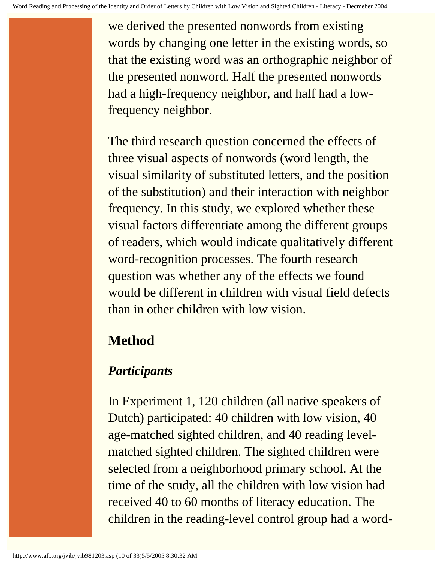we derived the presented nonwords from existing words by changing one letter in the existing words, so that the existing word was an orthographic neighbor of the presented nonword. Half the presented nonwords had a high-frequency neighbor, and half had a lowfrequency neighbor.

The third research question concerned the effects of three visual aspects of nonwords (word length, the visual similarity of substituted letters, and the position of the substitution) and their interaction with neighbor frequency. In this study, we explored whether these visual factors differentiate among the different groups of readers, which would indicate qualitatively different word-recognition processes. The fourth research question was whether any of the effects we found would be different in children with visual field defects than in other children with low vision.

# **Method**

#### *Participants*

In Experiment 1, 120 children (all native speakers of Dutch) participated: 40 children with low vision, 40 age-matched sighted children, and 40 reading levelmatched sighted children. The sighted children were selected from a neighborhood primary school. At the time of the study, all the children with low vision had received 40 to 60 months of literacy education. The children in the reading-level control group had a word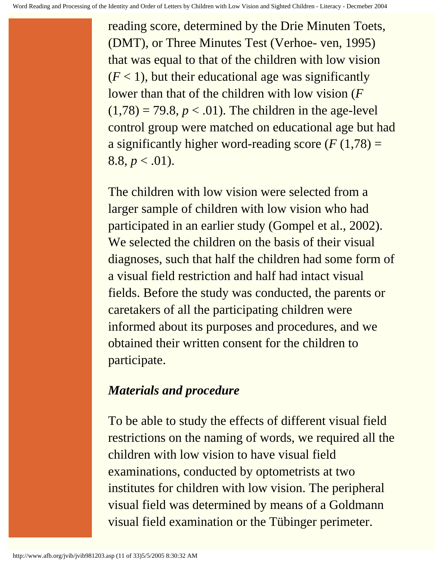reading score, determined by the Drie Minuten Toets, (DMT), or Three Minutes Test (Verhoe- ven, 1995) that was equal to that of the children with low vision  $(F < 1)$ , but their educational age was significantly lower than that of the children with low vision (*F*   $(1,78) = 79.8, p < .01$ ). The children in the age-level control group were matched on educational age but had a significantly higher word-reading score  $(F(1,78)) =$  $8.8, p < .01$ ).

The children with low vision were selected from a larger sample of children with low vision who had participated in an earlier study (Gompel et al., 2002). We selected the children on the basis of their visual diagnoses, such that half the children had some form of a visual field restriction and half had intact visual fields. Before the study was conducted, the parents or caretakers of all the participating children were informed about its purposes and procedures, and we obtained their written consent for the children to participate.

#### *Materials and procedure*

To be able to study the effects of different visual field restrictions on the naming of words, we required all the children with low vision to have visual field examinations, conducted by optometrists at two institutes for children with low vision. The peripheral visual field was determined by means of a Goldmann visual field examination or the Tübinger perimeter.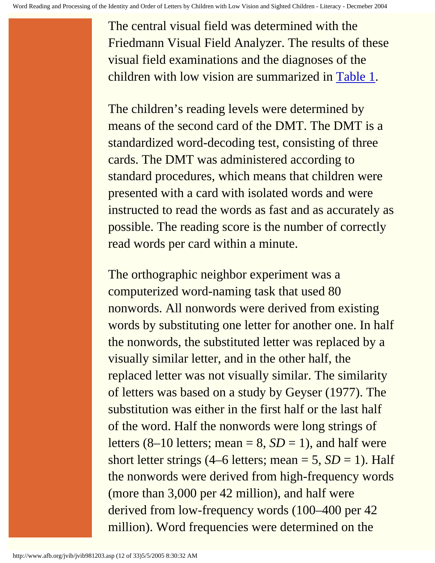The central visual field was determined with the Friedmann Visual Field Analyzer. The results of these visual field examinations and the diagnoses of the children with low vision are summarized in [Table 1](http://www.afb.org/jvib/jvib981203tab01intro.asp).

The children's reading levels were determined by means of the second card of the DMT. The DMT is a standardized word-decoding test, consisting of three cards. The DMT was administered according to standard procedures, which means that children were presented with a card with isolated words and were instructed to read the words as fast and as accurately as possible. The reading score is the number of correctly read words per card within a minute.

The orthographic neighbor experiment was a computerized word-naming task that used 80 nonwords. All nonwords were derived from existing words by substituting one letter for another one. In half the nonwords, the substituted letter was replaced by a visually similar letter, and in the other half, the replaced letter was not visually similar. The similarity of letters was based on a study by Geyser (1977). The substitution was either in the first half or the last half of the word. Half the nonwords were long strings of letters  $(8-10$  letters; mean = 8,  $SD = 1$ ), and half were short letter strings  $(4–6$  letters; mean  $= 5$ ,  $SD = 1$ ). Half the nonwords were derived from high-frequency words (more than 3,000 per 42 million), and half were derived from low-frequency words (100–400 per 42 million). Word frequencies were determined on the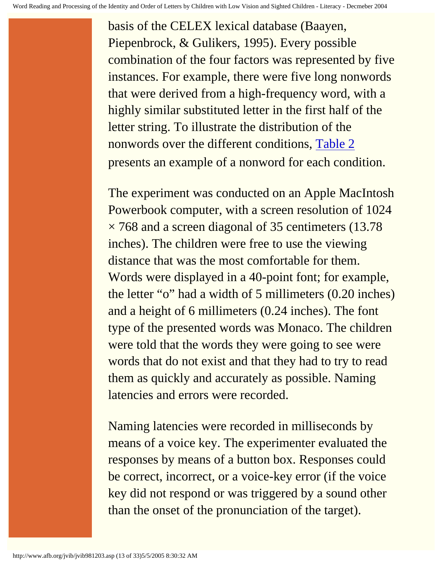basis of the CELEX lexical database (Baayen, Piepenbrock, & Gulikers, 1995). Every possible combination of the four factors was represented by five instances. For example, there were five long nonwords that were derived from a high-frequency word, with a highly similar substituted letter in the first half of the letter string. To illustrate the distribution of the nonwords over the different conditions, [Table 2](http://www.afb.org/jvib/jvib981203tab02intro.asp) presents an example of a nonword for each condition.

The experiment was conducted on an Apple MacIntosh Powerbook computer, with a screen resolution of 1024  $\times$  768 and a screen diagonal of 35 centimeters (13.78) inches). The children were free to use the viewing distance that was the most comfortable for them. Words were displayed in a 40-point font; for example, the letter "o" had a width of 5 millimeters (0.20 inches) and a height of 6 millimeters (0.24 inches). The font type of the presented words was Monaco. The children were told that the words they were going to see were words that do not exist and that they had to try to read them as quickly and accurately as possible. Naming latencies and errors were recorded.

Naming latencies were recorded in milliseconds by means of a voice key. The experimenter evaluated the responses by means of a button box. Responses could be correct, incorrect, or a voice-key error (if the voice key did not respond or was triggered by a sound other than the onset of the pronunciation of the target).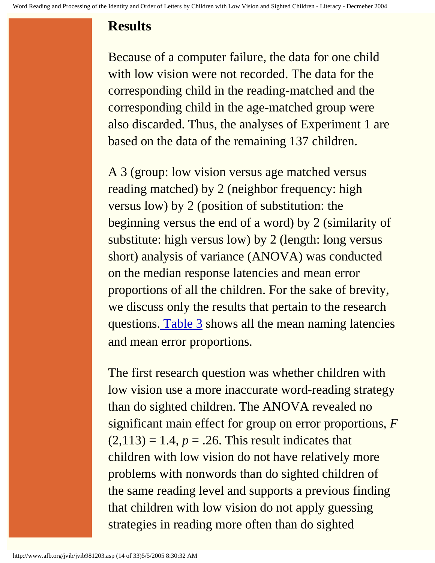#### **Results**

Because of a computer failure, the data for one child with low vision were not recorded. The data for the corresponding child in the reading-matched and the corresponding child in the age-matched group were also discarded. Thus, the analyses of Experiment 1 are based on the data of the remaining 137 children.

A 3 (group: low vision versus age matched versus reading matched) by 2 (neighbor frequency: high versus low) by 2 (position of substitution: the beginning versus the end of a word) by 2 (similarity of substitute: high versus low) by 2 (length: long versus short) analysis of variance (ANOVA) was conducted on the median response latencies and mean error proportions of all the children. For the sake of brevity, we discuss only the results that pertain to the research questions. [Table 3](http://www.afb.org/jvib/jvib981203tab03intro.asp) shows all the mean naming latencies and mean error proportions.

The first research question was whether children with low vision use a more inaccurate word-reading strategy than do sighted children. The ANOVA revealed no significant main effect for group on error proportions, *F*  $(2,113) = 1.4, p = .26$ . This result indicates that children with low vision do not have relatively more problems with nonwords than do sighted children of the same reading level and supports a previous finding that children with low vision do not apply guessing strategies in reading more often than do sighted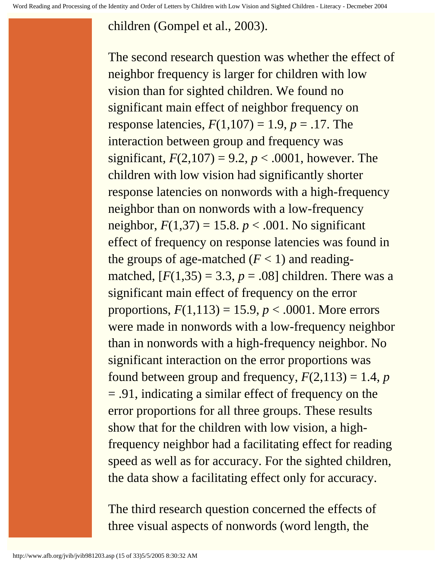#### children (Gompel et al., 2003).

The second research question was whether the effect of neighbor frequency is larger for children with low vision than for sighted children. We found no significant main effect of neighbor frequency on response latencies,  $F(1,107) = 1.9, p = .17$ . The interaction between group and frequency was significant,  $F(2,107) = 9.2$ ,  $p < .0001$ , however. The children with low vision had significantly shorter response latencies on nonwords with a high-frequency neighbor than on nonwords with a low-frequency neighbor,  $F(1,37) = 15.8$ .  $p < .001$ . No significant effect of frequency on response latencies was found in the groups of age-matched  $(F < 1)$  and readingmatched,  $[F(1,35) = 3.3, p = .08]$  children. There was a significant main effect of frequency on the error proportions,  $F(1,113) = 15.9, p < .0001$ . More errors were made in nonwords with a low-frequency neighbor than in nonwords with a high-frequency neighbor. No significant interaction on the error proportions was found between group and frequency,  $F(2,113) = 1.4$ , *p* = .91, indicating a similar effect of frequency on the error proportions for all three groups. These results show that for the children with low vision, a highfrequency neighbor had a facilitating effect for reading speed as well as for accuracy. For the sighted children, the data show a facilitating effect only for accuracy.

The third research question concerned the effects of three visual aspects of nonwords (word length, the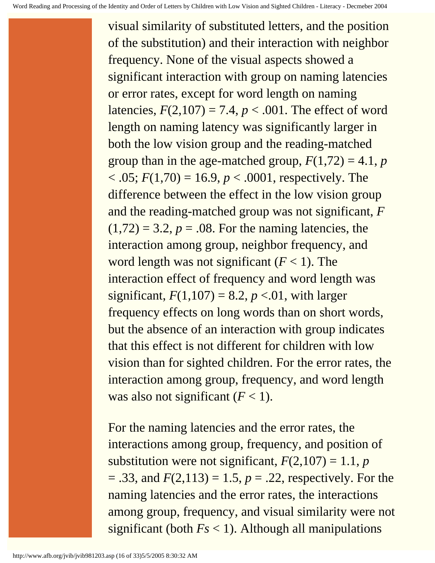visual similarity of substituted letters, and the position of the substitution) and their interaction with neighbor frequency. None of the visual aspects showed a significant interaction with group on naming latencies or error rates, except for word length on naming latencies,  $F(2,107) = 7.4$ ,  $p < .001$ . The effect of word length on naming latency was significantly larger in both the low vision group and the reading-matched group than in the age-matched group,  $F(1,72) = 4.1$ , *p*  $< .05; F(1,70) = 16.9, p < .0001$ , respectively. The difference between the effect in the low vision group and the reading-matched group was not significant, *F*  $(1,72) = 3.2, p = .08$ . For the naming latencies, the interaction among group, neighbor frequency, and word length was not significant  $(F < 1)$ . The interaction effect of frequency and word length was significant,  $F(1,107) = 8.2, p < 0.01$ , with larger frequency effects on long words than on short words, but the absence of an interaction with group indicates that this effect is not different for children with low vision than for sighted children. For the error rates, the interaction among group, frequency, and word length was also not significant  $(F < 1)$ .

For the naming latencies and the error rates, the interactions among group, frequency, and position of substitution were not significant,  $F(2,107) = 1.1$ , *p*  $= .33$ , and  $F(2,113) = 1.5$ ,  $p = .22$ , respectively. For the naming latencies and the error rates, the interactions among group, frequency, and visual similarity were not significant (both  $Fs < 1$ ). Although all manipulations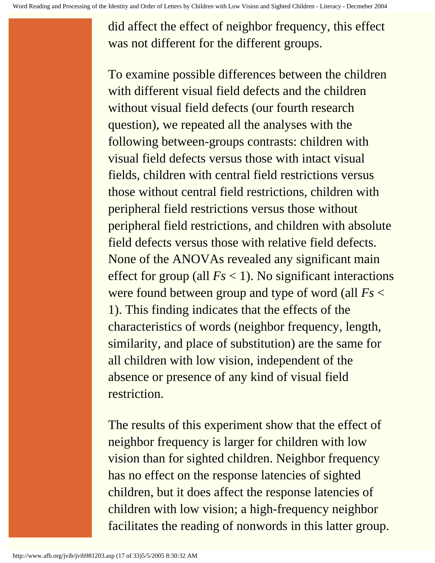did affect the effect of neighbor frequency, this effect was not different for the different groups.

To examine possible differences between the children with different visual field defects and the children without visual field defects (our fourth research question), we repeated all the analyses with the following between-groups contrasts: children with visual field defects versus those with intact visual fields, children with central field restrictions versus those without central field restrictions, children with peripheral field restrictions versus those without peripheral field restrictions, and children with absolute field defects versus those with relative field defects. None of the ANOVAs revealed any significant main effect for group (all *Fs* < 1). No significant interactions were found between group and type of word (all *Fs* < 1). This finding indicates that the effects of the characteristics of words (neighbor frequency, length, similarity, and place of substitution) are the same for all children with low vision, independent of the absence or presence of any kind of visual field restriction.

The results of this experiment show that the effect of neighbor frequency is larger for children with low vision than for sighted children. Neighbor frequency has no effect on the response latencies of sighted children, but it does affect the response latencies of children with low vision; a high-frequency neighbor facilitates the reading of nonwords in this latter group.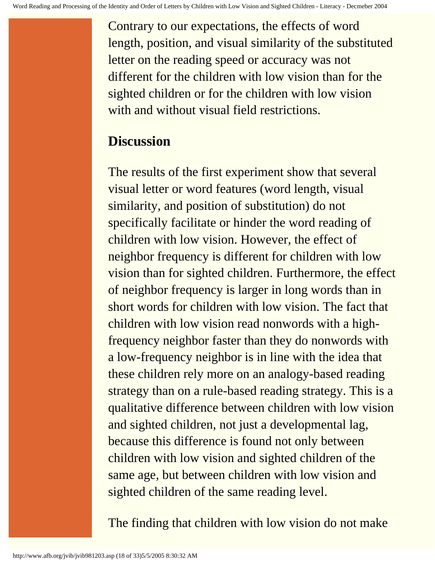Contrary to our expectations, the effects of word length, position, and visual similarity of the substituted letter on the reading speed or accuracy was not different for the children with low vision than for the sighted children or for the children with low vision with and without visual field restrictions.

#### **Discussion**

The results of the first experiment show that several visual letter or word features (word length, visual similarity, and position of substitution) do not specifically facilitate or hinder the word reading of children with low vision. However, the effect of neighbor frequency is different for children with low vision than for sighted children. Furthermore, the effect of neighbor frequency is larger in long words than in short words for children with low vision. The fact that children with low vision read nonwords with a highfrequency neighbor faster than they do nonwords with a low-frequency neighbor is in line with the idea that these children rely more on an analogy-based reading strategy than on a rule-based reading strategy. This is a qualitative difference between children with low vision and sighted children, not just a developmental lag, because this difference is found not only between children with low vision and sighted children of the same age, but between children with low vision and sighted children of the same reading level.

The finding that children with low vision do not make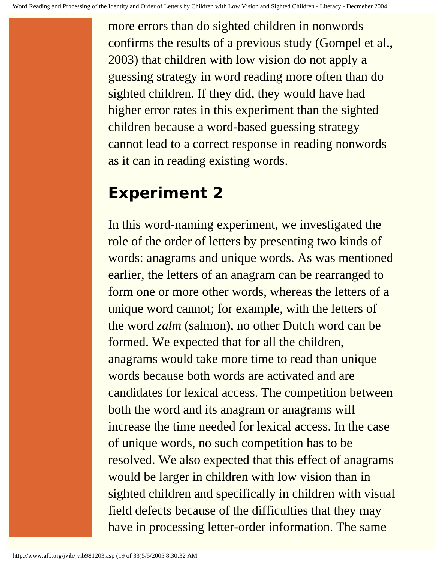more errors than do sighted children in nonwords confirms the results of a previous study (Gompel et al., 2003) that children with low vision do not apply a guessing strategy in word reading more often than do sighted children. If they did, they would have had higher error rates in this experiment than the sighted children because a word-based guessing strategy cannot lead to a correct response in reading nonwords as it can in reading existing words.

# **Experiment 2**

In this word-naming experiment, we investigated the role of the order of letters by presenting two kinds of words: anagrams and unique words. As was mentioned earlier, the letters of an anagram can be rearranged to form one or more other words, whereas the letters of a unique word cannot; for example, with the letters of the word *zalm* (salmon), no other Dutch word can be formed. We expected that for all the children, anagrams would take more time to read than unique words because both words are activated and are candidates for lexical access. The competition between both the word and its anagram or anagrams will increase the time needed for lexical access. In the case of unique words, no such competition has to be resolved. We also expected that this effect of anagrams would be larger in children with low vision than in sighted children and specifically in children with visual field defects because of the difficulties that they may have in processing letter-order information. The same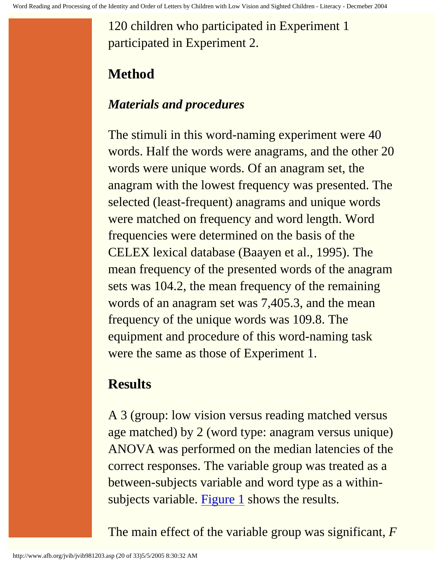120 children who participated in Experiment 1 participated in Experiment 2.

# **Method**

#### *Materials and procedures*

The stimuli in this word-naming experiment were 40 words. Half the words were anagrams, and the other 20 words were unique words. Of an anagram set, the anagram with the lowest frequency was presented. The selected (least-frequent) anagrams and unique words were matched on frequency and word length. Word frequencies were determined on the basis of the CELEX lexical database (Baayen et al., 1995). The mean frequency of the presented words of the anagram sets was 104.2, the mean frequency of the remaining words of an anagram set was 7,405.3, and the mean frequency of the unique words was 109.8. The equipment and procedure of this word-naming task were the same as those of Experiment 1.

### **Results**

A 3 (group: low vision versus reading matched versus age matched) by 2 (word type: anagram versus unique) ANOVA was performed on the median latencies of the correct responses. The variable group was treated as a between-subjects variable and word type as a within-subjects variable. [Figure 1](http://www.afb.org/jvib/jvib981203fig01.asp) shows the results.

The main effect of the variable group was significant, *F*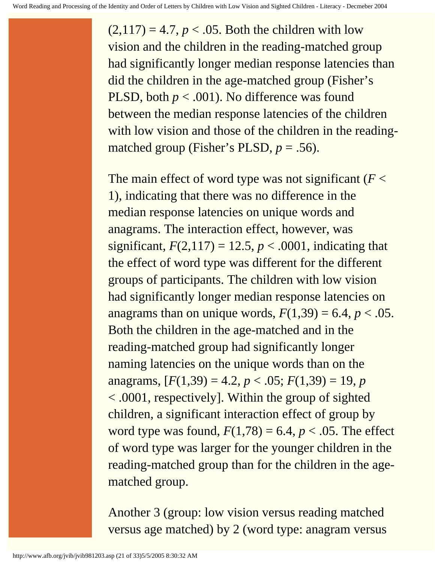$(2,117) = 4.7, p < .05$ . Both the children with low vision and the children in the reading-matched group had significantly longer median response latencies than did the children in the age-matched group (Fisher's PLSD, both  $p < .001$ ). No difference was found between the median response latencies of the children with low vision and those of the children in the readingmatched group (Fisher's PLSD,  $p = .56$ ).

The main effect of word type was not significant (*F* < 1), indicating that there was no difference in the median response latencies on unique words and anagrams. The interaction effect, however, was significant,  $F(2,117) = 12.5$ ,  $p < .0001$ , indicating that the effect of word type was different for the different groups of participants. The children with low vision had significantly longer median response latencies on anagrams than on unique words,  $F(1,39) = 6.4$ ,  $p < .05$ . Both the children in the age-matched and in the reading-matched group had significantly longer naming latencies on the unique words than on the anagrams,  $[F(1,39) = 4.2, p < .05; F(1,39) = 19, p$ < .0001, respectively]. Within the group of sighted children, a significant interaction effect of group by word type was found,  $F(1,78) = 6.4$ ,  $p < .05$ . The effect of word type was larger for the younger children in the reading-matched group than for the children in the agematched group.

Another 3 (group: low vision versus reading matched versus age matched) by 2 (word type: anagram versus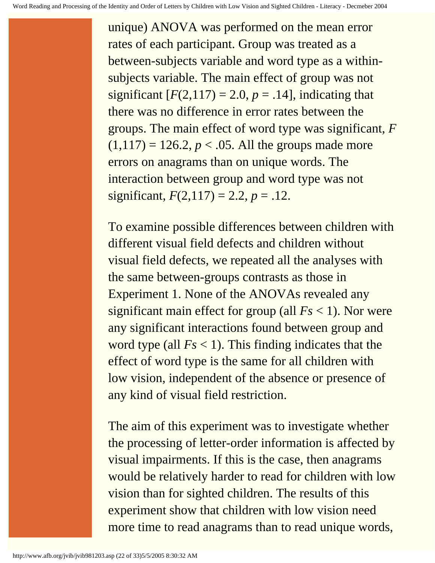unique) ANOVA was performed on the mean error rates of each participant. Group was treated as a between-subjects variable and word type as a withinsubjects variable. The main effect of group was not significant  $[F(2,117) = 2.0, p = .14]$ , indicating that there was no difference in error rates between the groups. The main effect of word type was significant, *F*  $(1,117) = 126.2, p < .05$ . All the groups made more errors on anagrams than on unique words. The interaction between group and word type was not significant,  $F(2,117) = 2.2, p = .12$ .

To examine possible differences between children with different visual field defects and children without visual field defects, we repeated all the analyses with the same between-groups contrasts as those in Experiment 1. None of the ANOVAs revealed any significant main effect for group (all  $Fs < 1$ ). Nor were any significant interactions found between group and word type (all  $Fs < 1$ ). This finding indicates that the effect of word type is the same for all children with low vision, independent of the absence or presence of any kind of visual field restriction.

The aim of this experiment was to investigate whether the processing of letter-order information is affected by visual impairments. If this is the case, then anagrams would be relatively harder to read for children with low vision than for sighted children. The results of this experiment show that children with low vision need more time to read anagrams than to read unique words,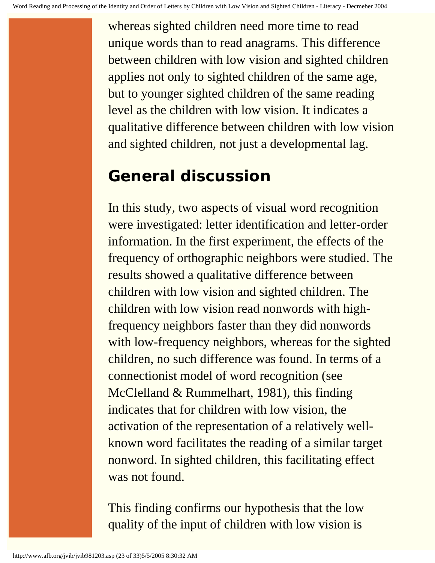whereas sighted children need more time to read unique words than to read anagrams. This difference between children with low vision and sighted children applies not only to sighted children of the same age, but to younger sighted children of the same reading level as the children with low vision. It indicates a qualitative difference between children with low vision and sighted children, not just a developmental lag.

# **General discussion**

In this study, two aspects of visual word recognition were investigated: letter identification and letter-order information. In the first experiment, the effects of the frequency of orthographic neighbors were studied. The results showed a qualitative difference between children with low vision and sighted children. The children with low vision read nonwords with highfrequency neighbors faster than they did nonwords with low-frequency neighbors, whereas for the sighted children, no such difference was found. In terms of a connectionist model of word recognition (see McClelland & Rummelhart, 1981), this finding indicates that for children with low vision, the activation of the representation of a relatively wellknown word facilitates the reading of a similar target nonword. In sighted children, this facilitating effect was not found.

This finding confirms our hypothesis that the low quality of the input of children with low vision is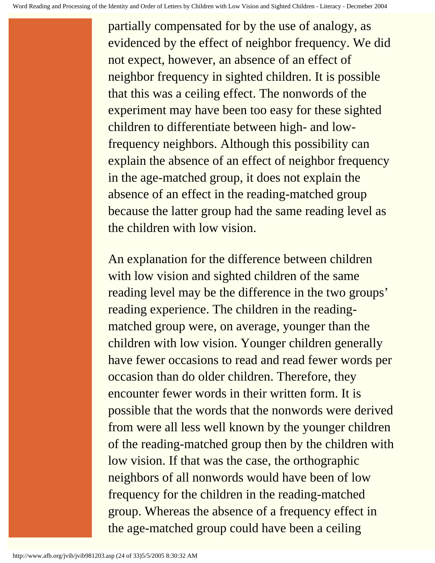partially compensated for by the use of analogy, as evidenced by the effect of neighbor frequency. We did not expect, however, an absence of an effect of neighbor frequency in sighted children. It is possible that this was a ceiling effect. The nonwords of the experiment may have been too easy for these sighted children to differentiate between high- and lowfrequency neighbors. Although this possibility can explain the absence of an effect of neighbor frequency in the age-matched group, it does not explain the absence of an effect in the reading-matched group because the latter group had the same reading level as the children with low vision.

An explanation for the difference between children with low vision and sighted children of the same reading level may be the difference in the two groups' reading experience. The children in the readingmatched group were, on average, younger than the children with low vision. Younger children generally have fewer occasions to read and read fewer words per occasion than do older children. Therefore, they encounter fewer words in their written form. It is possible that the words that the nonwords were derived from were all less well known by the younger children of the reading-matched group then by the children with low vision. If that was the case, the orthographic neighbors of all nonwords would have been of low frequency for the children in the reading-matched group. Whereas the absence of a frequency effect in the age-matched group could have been a ceiling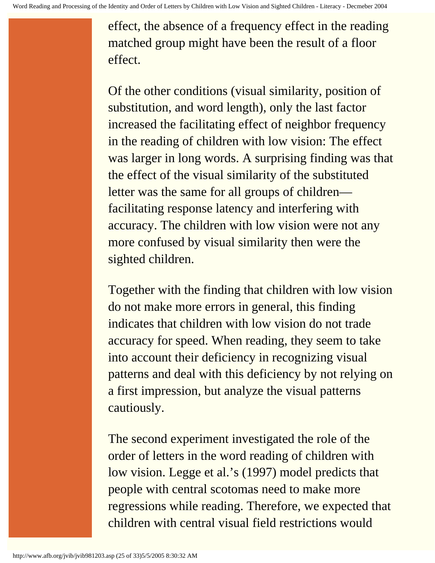effect, the absence of a frequency effect in the reading matched group might have been the result of a floor effect.

Of the other conditions (visual similarity, position of substitution, and word length), only the last factor increased the facilitating effect of neighbor frequency in the reading of children with low vision: The effect was larger in long words. A surprising finding was that the effect of the visual similarity of the substituted letter was the same for all groups of children facilitating response latency and interfering with accuracy. The children with low vision were not any more confused by visual similarity then were the sighted children.

Together with the finding that children with low vision do not make more errors in general, this finding indicates that children with low vision do not trade accuracy for speed. When reading, they seem to take into account their deficiency in recognizing visual patterns and deal with this deficiency by not relying on a first impression, but analyze the visual patterns cautiously.

The second experiment investigated the role of the order of letters in the word reading of children with low vision. Legge et al.'s (1997) model predicts that people with central scotomas need to make more regressions while reading. Therefore, we expected that children with central visual field restrictions would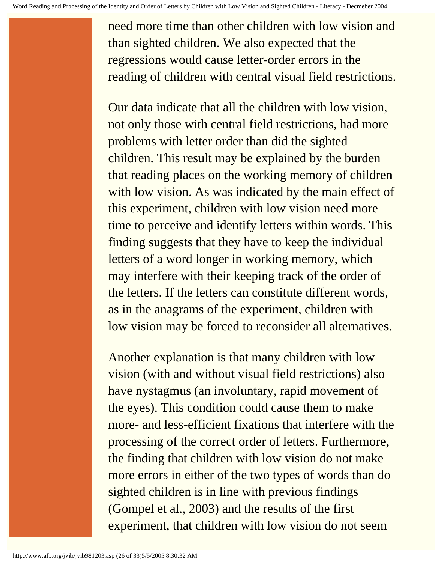need more time than other children with low vision and than sighted children. We also expected that the regressions would cause letter-order errors in the reading of children with central visual field restrictions.

Our data indicate that all the children with low vision, not only those with central field restrictions, had more problems with letter order than did the sighted children. This result may be explained by the burden that reading places on the working memory of children with low vision. As was indicated by the main effect of this experiment, children with low vision need more time to perceive and identify letters within words. This finding suggests that they have to keep the individual letters of a word longer in working memory, which may interfere with their keeping track of the order of the letters. If the letters can constitute different words, as in the anagrams of the experiment, children with low vision may be forced to reconsider all alternatives.

Another explanation is that many children with low vision (with and without visual field restrictions) also have nystagmus (an involuntary, rapid movement of the eyes). This condition could cause them to make more- and less-efficient fixations that interfere with the processing of the correct order of letters. Furthermore, the finding that children with low vision do not make more errors in either of the two types of words than do sighted children is in line with previous findings (Gompel et al., 2003) and the results of the first experiment, that children with low vision do not seem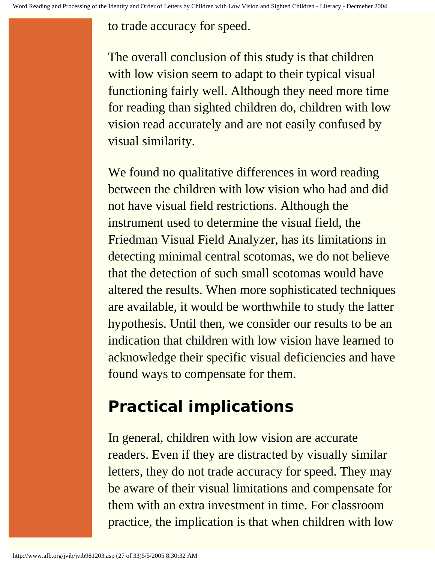to trade accuracy for speed.

The overall conclusion of this study is that children with low vision seem to adapt to their typical visual functioning fairly well. Although they need more time for reading than sighted children do, children with low vision read accurately and are not easily confused by visual similarity.

We found no qualitative differences in word reading between the children with low vision who had and did not have visual field restrictions. Although the instrument used to determine the visual field, the Friedman Visual Field Analyzer, has its limitations in detecting minimal central scotomas, we do not believe that the detection of such small scotomas would have altered the results. When more sophisticated techniques are available, it would be worthwhile to study the latter hypothesis. Until then, we consider our results to be an indication that children with low vision have learned to acknowledge their specific visual deficiencies and have found ways to compensate for them.

# **Practical implications**

In general, children with low vision are accurate readers. Even if they are distracted by visually similar letters, they do not trade accuracy for speed. They may be aware of their visual limitations and compensate for them with an extra investment in time. For classroom practice, the implication is that when children with low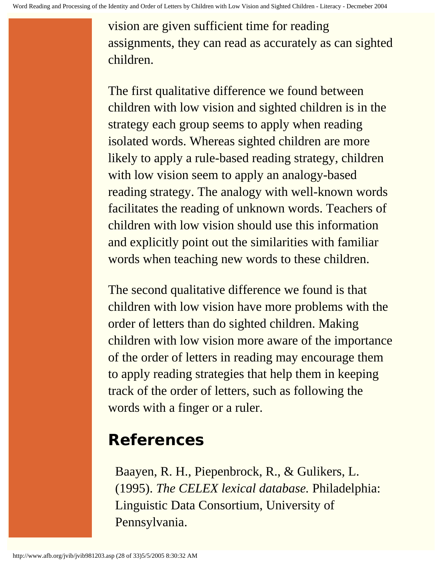vision are given sufficient time for reading assignments, they can read as accurately as can sighted children.

The first qualitative difference we found between children with low vision and sighted children is in the strategy each group seems to apply when reading isolated words. Whereas sighted children are more likely to apply a rule-based reading strategy, children with low vision seem to apply an analogy-based reading strategy. The analogy with well-known words facilitates the reading of unknown words. Teachers of children with low vision should use this information and explicitly point out the similarities with familiar words when teaching new words to these children.

The second qualitative difference we found is that children with low vision have more problems with the order of letters than do sighted children. Making children with low vision more aware of the importance of the order of letters in reading may encourage them to apply reading strategies that help them in keeping track of the order of letters, such as following the words with a finger or a ruler.

# **References**

Baayen, R. H., Piepenbrock, R., & Gulikers, L. (1995). *The CELEX lexical database.* Philadelphia: Linguistic Data Consortium, University of Pennsylvania.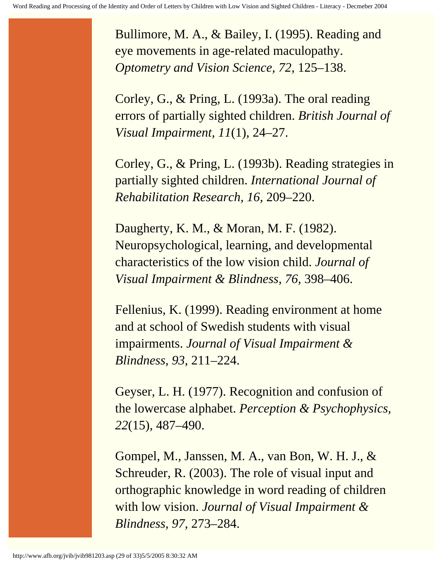Bullimore, M. A., & Bailey, I. (1995). Reading and eye movements in age-related maculopathy. *Optometry and Vision Science, 72,* 125–138.

Corley, G., & Pring, L. (1993a). The oral reading errors of partially sighted children. *British Journal of Visual Impairment, 11*(1)*,* 24–27.

Corley, G., & Pring, L. (1993b). Reading strategies in partially sighted children. *International Journal of Rehabilitation Research, 16,* 209–220.

Daugherty, K. M., & Moran, M. F. (1982). Neuropsychological, learning, and developmental characteristics of the low vision child. *Journal of Visual Impairment & Blindness, 76,* 398–406.

Fellenius, K. (1999). Reading environment at home and at school of Swedish students with visual impairments. *Journal of Visual Impairment & Blindness, 93,* 211–224.

Geyser, L. H. (1977). Recognition and confusion of the lowercase alphabet. *Perception & Psychophysics, 22*(15), 487–490.

Gompel, M., Janssen, M. A., van Bon, W. H. J., & Schreuder, R. (2003). The role of visual input and orthographic knowledge in word reading of children with low vision. *Journal of Visual Impairment & Blindness, 97,* 273–284.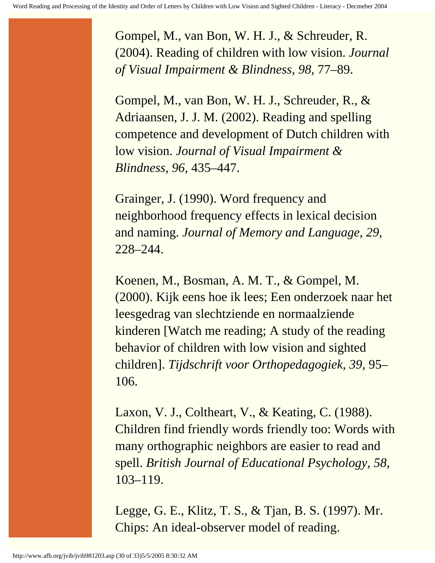Gompel, M., van Bon, W. H. J., & Schreuder, R. (2004). Reading of children with low vision. *Journal of Visual Impairment & Blindness, 98,* 77–89.

Gompel, M., van Bon, W. H. J., Schreuder, R., & Adriaansen, J. J. M. (2002). Reading and spelling competence and development of Dutch children with low vision. *Journal of Visual Impairment & Blindness, 96,* 435–447.

Grainger, J. (1990). Word frequency and neighborhood frequency effects in lexical decision and naming. *Journal of Memory and Language, 29,* 228–244.

Koenen, M., Bosman, A. M. T., & Gompel, M. (2000). Kijk eens hoe ik lees; Een onderzoek naar het leesgedrag van slechtziende en normaalziende kinderen [Watch me reading; A study of the reading behavior of children with low vision and sighted children]. *Tijdschrift voor Orthopedagogiek, 39,* 95– 106.

Laxon, V. J., Coltheart, V., & Keating, C. (1988). Children find friendly words friendly too: Words with many orthographic neighbors are easier to read and spell. *British Journal of Educational Psychology, 58,* 103–119.

Legge, G. E., Klitz, T. S., & Tjan, B. S. (1997). Mr. Chips: An ideal-observer model of reading.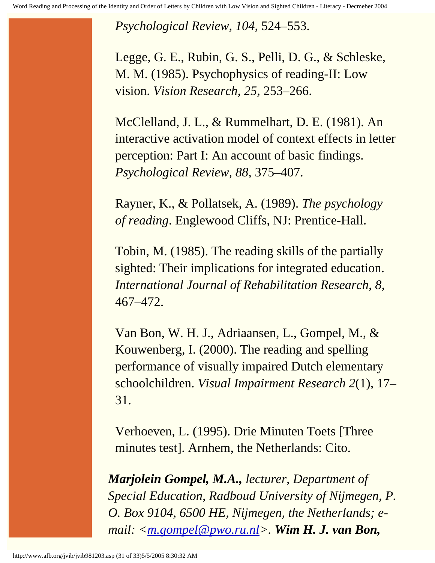*Psychological Review, 104,* 524–553.

Legge, G. E., Rubin, G. S., Pelli, D. G., & Schleske, M. M. (1985). Psychophysics of reading-II: Low vision. *Vision Research, 25,* 253–266.

McClelland, J. L., & Rummelhart, D. E. (1981). An interactive activation model of context effects in letter perception: Part I: An account of basic findings. *Psychological Review, 88,* 375–407.

Rayner, K., & Pollatsek, A. (1989). *The psychology of reading*. Englewood Cliffs, NJ: Prentice-Hall.

Tobin, M. (1985). The reading skills of the partially sighted: Their implications for integrated education. *International Journal of Rehabilitation Research, 8,*  467–472.

Van Bon, W. H. J., Adriaansen, L., Gompel, M., & Kouwenberg, I. (2000). The reading and spelling performance of visually impaired Dutch elementary schoolchildren. *Visual Impairment Research 2*(1), 17– 31.

Verhoeven, L. (1995). Drie Minuten Toets [Three minutes test]. Arnhem, the Netherlands: Cito.

*Marjolein Gompel, M.A., lecturer, Department of Special Education, Radboud University of Nijmegen, P. O. Box 9104, 6500 HE, Nijmegen, the Netherlands; email: [<m.gompel@pwo.ru.nl](mailto:m.gompel@pwo.ru.nl)>. Wim H. J. van Bon,*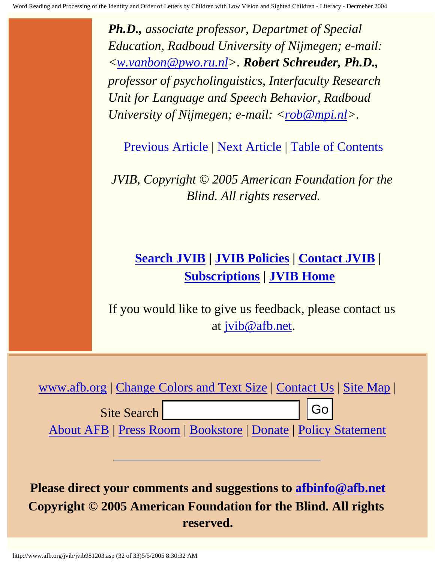*Ph.D., associate professor, Departmet of Special Education, Radboud University of Nijmegen; e-mail: [<w.vanbon@pwo.ru.nl](mailto:w.vanbon@pwo.ru.nl)>. Robert Schreuder, Ph.D., professor of psycholinguistics, Interfaculty Research Unit for Language and Speech Behavior, Radboud University of Nijmegen; e-mail: [<rob@mpi.nl](mailto:rob@mpi.nl)>.* 

[Previous Article](http://www.afb.org/jvib/jvib981202.asp) | [Next Article](http://www.afb.org/jvib/jvib981204.asp) | [Table of Contents](http://www.afb.org/jvib/jvib9812toc.asp)

*JVIB, Copyright © 2005 American Foundation for the Blind. All rights reserved.*

# **[Search JVIB](http://www.afb.org/jvib/JVIB_search.asp) | [JVIB Policies](http://www.afb.org/jvib.asp) | [Contact JVIB](http://www.afb.org/jvib/contact_jvib.asp) | [Subscriptions](http://www.afb.org/store/journal_view.asp?name=Journal+of+Visual+Impairment+%26+Blindness&mscssid=) | [JVIB Home](http://www.afb.org/jvib/main.asp)**

If you would like to give us feedback, please contact us at [jvib@afb.net](mailto:jvib@afb.net).



# **Please direct your comments and suggestions to [afbinfo@afb.net](mailto:afbinfo@afb.net)  Copyright © 2005 American Foundation for the Blind. All rights reserved.** Site Search <br>
About AFB | Press Room | Bookstore | Donate | Policy<br>
Please direct your comments and suggestions to afbinf<br>
Copyright © 2005 American Foundation for the Blind.<br>
reserved.